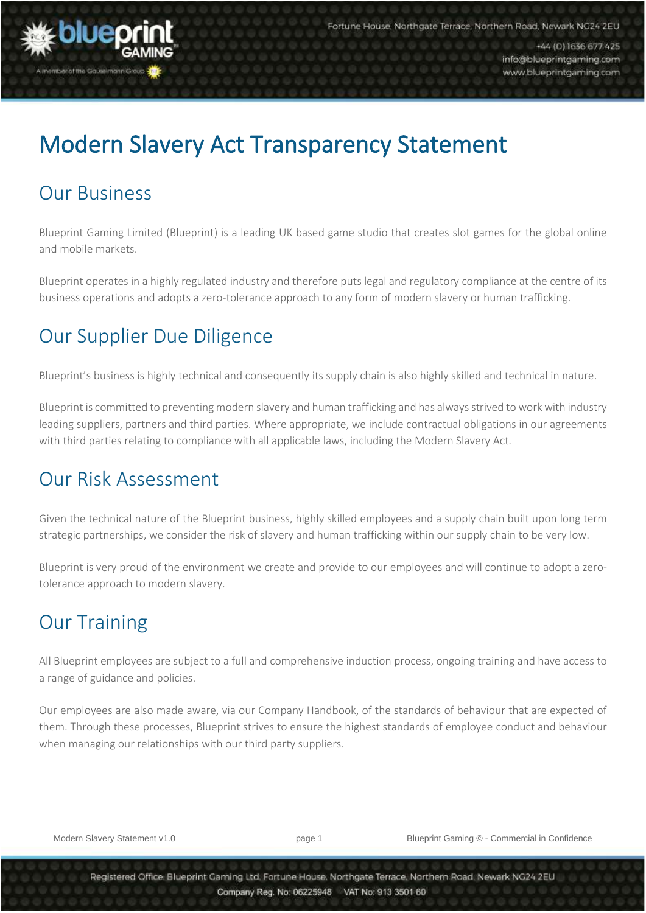

é

+44 (0) 1636 677 425 info@blueprintgaming.com www.blueprintgaming.com

# Modern Slavery Act Transparency Statement

#### Our Business

Blueprint Gaming Limited (Blueprint) is a leading UK based game studio that creates slot games for the global online and mobile markets.

Blueprint operates in a highly regulated industry and therefore puts legal and regulatory compliance at the centre of its business operations and adopts a zero-tolerance approach to any form of modern slavery or human trafficking.

# Our Supplier Due Diligence

Blueprint's business is highly technical and consequently its supply chain is also highly skilled and technical in nature.

Blueprint is committed to preventing modern slavery and human trafficking and has alwaysstrived to work with industry leading suppliers, partners and third parties. Where appropriate, we include contractual obligations in our agreements with third parties relating to compliance with all applicable laws, including the Modern Slavery Act.

#### Our Risk Assessment

Given the technical nature of the Blueprint business, highly skilled employees and a supply chain built upon long term strategic partnerships, we consider the risk of slavery and human trafficking within our supply chain to be very low.

Blueprint is very proud of the environment we create and provide to our employees and will continue to adopt a zerotolerance approach to modern slavery.

## Our Training

All Blueprint employees are subject to a full and comprehensive induction process, ongoing training and have access to a range of guidance and policies.

Our employees are also made aware, via our Company Handbook, of the standards of behaviour that are expected of them. Through these processes, Blueprint strives to ensure the highest standards of employee conduct and behaviour when managing our relationships with our third party suppliers.